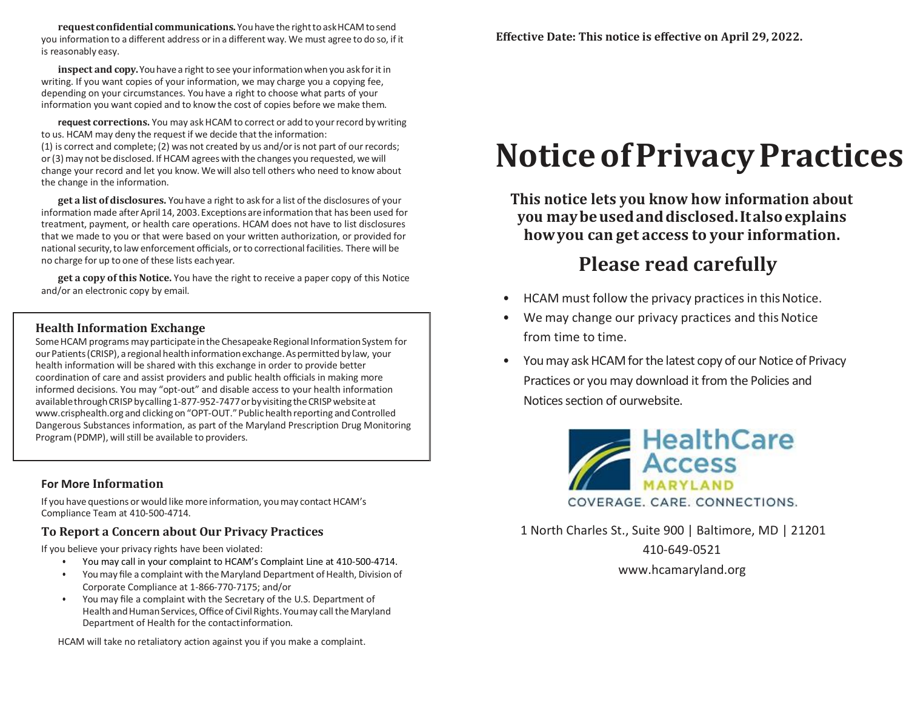**requestconfidential communications.** You have the righttoaskHCAM tosend you information to a different address or in a different way. We must agree to do so, if it is reasonably easy.

**inspect and copy.** You have a right to see your information when you ask for it in writing. If you want copies of your information, we may charge you a copying fee, depending on your circumstances. You have a right to choose what parts of your information you want copied and to know the cost of copies before we make them.

**request corrections.** You may ask HCAM to correct or add to your record by writing to us. HCAM may deny the request if we decide that the information: (1) is correct and complete; (2) was not created by us and/oris not part of our records; or(3)may not be disclosed. If HCAM agrees with the changes you requested, we will change your record and let you know. Wewill also tell others who need to know about the change in the information.

**get a list ofdisclosures.** Youhave a right to ask for a list of the disclosures of your information made after April 14, 2003. Exceptions are information that has been used for treatment, payment, or health care operations. HCAM does not have to list disclosures that we made to you or that were based on your written authorization, or provided for national security,to law enforcement officials, orto correctional facilities. There will be no charge for up to one of these lists eachyear.

**get a copy of this Notice.** You have the right to receive a paper copy of this Notice and/or an electronic copy by email.

# **Health Information Exchange**

Some HCAM programs may participate in the Chesapeake Regional Information System for our Patients (CRISP), a regional health information exchange. As permitted by law, your health information will be shared with this exchange in order to provide better coordination of care and assist providers and public health officials in making more informed decisions. You may "opt-out" and disable access to your health information availablethrough CRISP by calling 1-877-952-7477 or by visiting the CRISP website [at](http://www.crisphealth.org/) [www.crisphealth.org](http://www.crisphealth.org/) and clicking on "OPT-OUT."Public health reporting and Controlled Dangerous Substances information, as part of the Maryland Prescription Drug Monitoring Program (PDMP), will still be available to providers.

### **For More Information**

If you have questions or would like more information, youmay contact HCAM's Compliance Team at 410-500-4714.

# **To Report a Concern about Our Privacy Practices**

If you believe your privacy rights have been violated:

- You may call in your complaint to HCAM's Complaint Line at 410-500-4714.
- You may file a complaint with the Maryland Department of Health, Division of Corporate Compliance at 1-866-770-7175; and/or
- You may file a complaint with the Secretary of the U.S. Department of Health and Human Services, Office of Civil Rights. You may call the Maryland Department of Health for the contactinformation.

HCAM will take no retaliatory action against you if you make a complaint.

# **NoticeofPrivacyPractices**

**This notice lets you know how information about you maybeusedanddisclosed.Italsoexplains howyou can get access to your information.**

# **Please read carefully**

- HCAM must follow the privacy practices in this Notice.
- We may change our privacy practices and this Notice from time to time.
- You may ask HCAM for the latest copy of our Notice of Privacy Practices or you may download it from the Policies and Notices section of ourwebsite.



1 North Charles St., Suite 900 | Baltimore, MD | 21201 410-649-0521 [www.hcamaryland.org](http://www.hcamaryland.org/)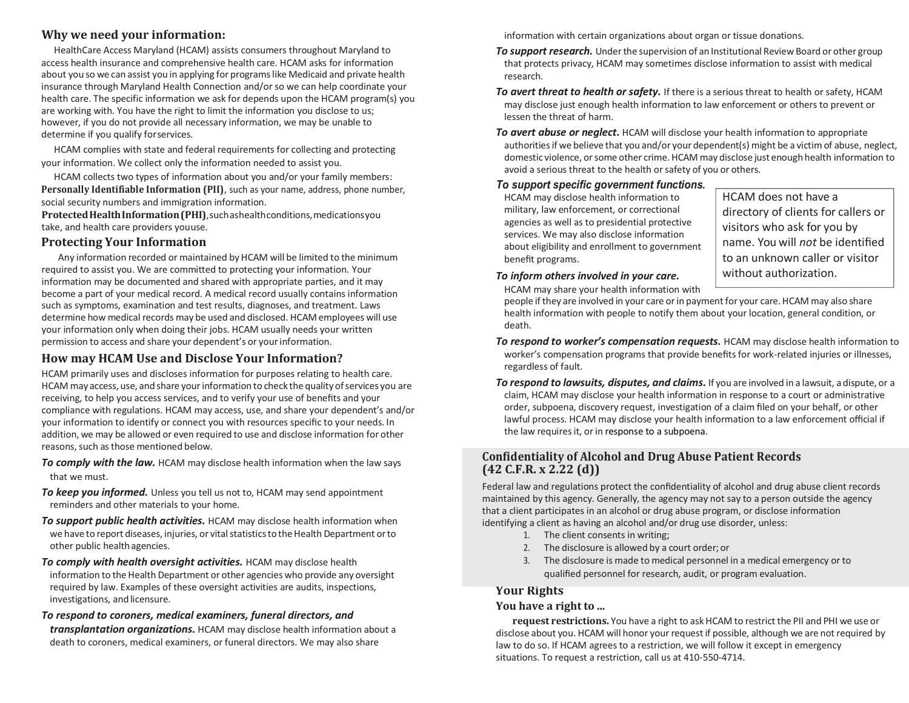# **Why we need your information:**

HealthCare Access Maryland (HCAM) assists consumers throughout Maryland to access health insurance and comprehensive health care. HCAM asks for information about you so we can assist you in applying for programslike Medicaid and private health insurance through Maryland Health Connection and/or so we can help coordinate your health care. The specific information we ask for depends upon the HCAM program(s) you are working with. You have the right to limit the information you disclose to us; however, if you do not provide all necessary information, we may be unable to determine if you qualify forservices.

HCAM complies with state and federal requirements for collecting and protecting your information. We collect only the information needed to assist you.

HCAM collects two types of information about you and/or your family members: **Personally Identifiable Information (PII)**, such as your name, address, phone number, social security numbers and immigration information.

**ProtectedHealthInformation(PHI)**,suchashealthconditions,medicationsyou take, and health care providers youuse.

# **Protecting Your Information**

Any information recorded or maintained by HCAM will be limited to the minimum required to assist you. We are committed to protecting your information. Your information may be documented and shared with appropriate parties, and it may become a part of your medical record. A medical record usually contains information such as symptoms, examination and test results, diagnoses, and treatment. Laws determine how medical records may be used and disclosed. HCAM employees will use your information only when doing their jobs. HCAM usually needs your written permission to access and share your dependent's or yourinformation.

# **How may HCAM Use and Disclose Your Information?**

HCAM primarily uses and discloses information for purposes relating to health care. HCAM may access, use, and share yourinformation to check the qualityofservices you are receiving, to help you access services, and to verify your use of benefits and your compliance with regulations. HCAM may access, use, and share your dependent's and/or your information to identify or connect you with resources specific to your needs. In addition, we may be allowed or even required to use and disclose information for other reasons, such as those mentioned below.

- **To comply with the law.** HCAM may disclose health information when the law says that we must.
- **To keep you informed.** Unless you tell us not to, HCAM may send appointment reminders and other materials to your home.
- **To support public health activities.** HCAM may disclose health information when we have to report diseases, injuries, or vital statistics to the Health Department or to other public healthagencies.
- *To comply with health oversight activities.* HCAM may disclose health

information to the Health Department or other agencies who provide any oversight required by law. Examples of these oversight activities are audits, inspections, investigations, and licensure.

# *To respond to coroners, medical examiners, funeral directors, and*

*transplantation organizations.* HCAM may disclose health information about a death to coroners, medical examiners, or funeral directors. We may also share

information with certain organizations about organ or tissue donations.

- **To support research.** Under the supervision of an Institutional Review Board or other group that protects privacy, HCAM may sometimes disclose information to assist with medical research.
- *To avert threat to health or safety.* If there is a serious threat to health or safety, HCAM may disclose just enough health information to law enforcement or others to prevent or lessen the threat of harm.
- *To avert abuse or neglect.* HCAM will disclose your health information to appropriate authorities if we believe that you and/or your dependent(s) might be a victim of abuse, neglect, domestic violence, orsome other crime. HCAM may disclose just enough health information to avoid a serious threat to the health or safety of you or others.

### *To support specific government functions.*

HCAM may disclose health information to military, law enforcement, or correctional agencies as well as to presidential protective services. We may also disclose information about eligibility and enrollment to government benefit programs.

HCAM does not have a directory of clients for callers or visitors who ask for you by name. You will *not* be identified to an unknown caller or visitor without authorization.

## *To inform others involved in your care.*

HCAM may share your health information with people if they are involved in your care orin paymentfor your care.HCAM may also share health information with people to notify them about your location, general condition, or death.

- **To respond to worker's compensation requests.** HCAM may disclose health information to worker's compensation programs that provide benefits for work-related injuries or illnesses, regardless of fault.
- *To respond to lawsuits, disputes, and claims.* If you are involved in a lawsuit, adispute, or a claim, HCAM may disclose your health information in response to a court or administrative order, subpoena, discovery request, investigation of a claim filed on your behalf, or other lawful process. HCAM may disclose your health information to a law enforcement official if the law requires it, or in response to a subpoena.

## **Confidentiality of Alcohol and Drug Abuse Patient Records (42 C.F.R. x 2.22 (d))**

Federal law and regulations protect the confidentiality of alcohol and drug abuse client records maintained by this agency. Generally, the agency may not say to a person outside the agency that a client participates in an alcohol or drug abuse program, or disclose information identifying a client as having an alcohol and/or drug use disorder, unless:

- 1. The client consents in writing;
- 2. The disclosure is allowed by a court order;or
- 3. The disclosure is made to medical personnel in a medical emergency or to qualified personnel for research, audit, or program evaluation.

# **Your Rights**

# **You have a right to ...**

**request restrictions.** You have a right to ask HCAM to restrict the PII and PHI we use or disclose about you. HCAM will honor your requestif possible, although we are not required by law to do so. If HCAM agrees to a restriction, we will follow it except in emergency situations. To request a restriction, call us at 410-550-4714.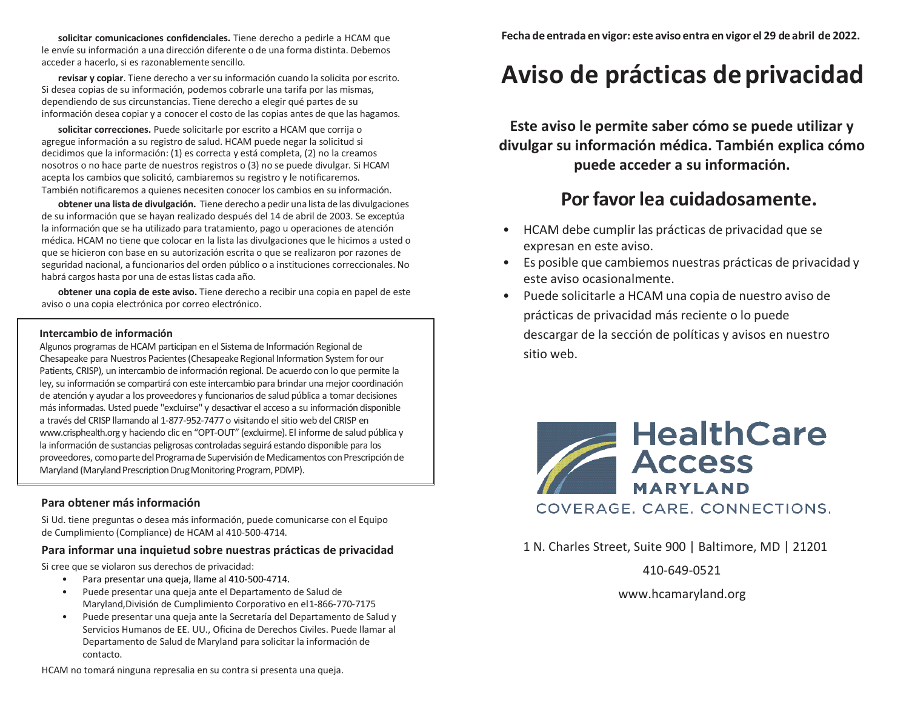**solicitar comunicaciones confidenciales.** Tiene derecho a pedirle a HCAM que le envíe su información a una dirección diferente o de una forma distinta. Debemos acceder a hacerlo, si es razonablemente sencillo.

**revisar y copiar**. Tiene derecho a versu información cuando la solicita por escrito. Si desea copias de su información, podemos cobrarle una tarifa por las mismas, dependiendo de sus circunstancias. Tiene derecho a elegir qué partes de su información desea copiar y a conocer el costo de las copias antes de que las hagamos.

**solicitar correcciones.** Puede solicitarle por escrito a HCAM que corrija o agregue información a su registro de salud. HCAM puede negar la solicitud si decidimos que la información: (1) es correcta y está completa, (2) no la creamos nosotros o no hace parte de nuestros registros o (3) no se puede divulgar. Si HCAM acepta los cambios que solicitó, cambiaremos su registro y le notificaremos. También notificaremos a quienes necesiten conocer los cambios en su información.

**obtener una lista de divulgación.** Tiene derecho apedir una lista de las divulgaciones de su información que se hayan realizado después del 14 de abril de 2003. Se exceptúa la información que se ha utilizado para tratamiento, pago u operaciones de atención médica. HCAM no tiene que colocar en la lista las divulgaciones que le hicimos a usted o que se hicieron con base en su autorización escrita o que se realizaron por razones de seguridad nacional, a funcionarios del orden público o a instituciones correccionales. No habrá cargos hasta por una de estas listas cada año.

**obtener una copia de este aviso.** Tiene derecho a recibir una copia en papel de este aviso o una copia electrónica por correo electrónico.

#### **Intercambio de información**

Algunos programas de HCAM participan en el Sistema de Información Regional de Chesapeake para Nuestros Pacientes (Chesapeake Regional Information System for our Patients, CRISP), un intercambio de información regional. De acuerdo con lo que permite la ley, su información se compartirá con este intercambio para brindar una mejor coordinación de atención y ayudar a los proveedores y funcionarios de salud pública a tomar decisiones más informadas. Usted puede "excluirse" y desactivar el acceso a su información disponible a través del CRISP llamando al 1-877-952-7477 o visitando el sitio web del CRISP en [www.crisphealth.org y](http://www.crisphealth.org/) haciendo clic en "OPT-OUT" (excluirme). El informe de salud pública y la información de sustancias peligrosas controladas seguirá estando disponible para los proveedores, como parte del Programa de Supervisión de Medicamentos con Prescripción de Maryland (Maryland Prescription Drug Monitoring Program, PDMP).

#### **Para obtener más información**

Si Ud. tiene preguntas o desea más información, puede comunicarse con el Equipo de Cumplimiento (Compliance) de HCAM al 410-500-4714.

#### **Para informar una inquietud sobre nuestras prácticas de privacidad**

Si cree que se violaron sus derechos de privacidad:

- Para presentar una queja, llame al 410-500-4714.
- Puede presentar una queja ante el Departamento de Salud de Maryland,División de Cumplimiento Corporativo en el1-866-770-7175
- Puede presentar una queja ante la Secretaría del Departamento de Salud y Servicios Humanos de EE. UU., Oficina de Derechos Civiles. Puede llamar al Departamento de Salud de Maryland para solicitar la información de contacto.

# **Aviso de prácticas deprivacidad**

**Este aviso le permite saber cómo se puede utilizar y divulgar su información médica. También explica cómo puede acceder a su información.**

# **Por favor lea cuidadosamente.**

- HCAM debe cumplir las prácticas de privacidad que se expresan en este aviso.
- Es posible que cambiemos nuestras prácticas de privacidad y este aviso ocasionalmente.
- Puede solicitarle a HCAM una copia de nuestro aviso de prácticas de privacidad más reciente o lo puede descargar de la sección de políticas y avisos en nuestro sitio web.



1 N. Charles Street, Suite 900 | Baltimore, MD | 21201

410-649-0521

[www.hcamaryland.org](http://www.hcamaryland.org/)

HCAM no tomará ninguna represalia en su contra si presenta una queja.